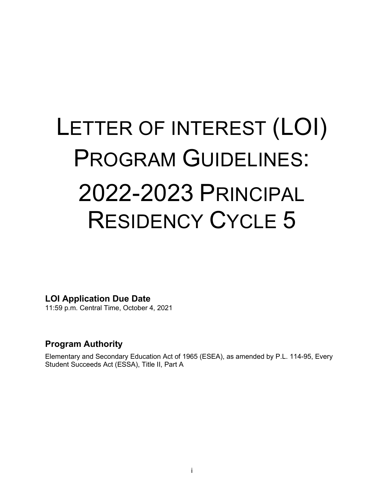# LETTER OF INTEREST (LOI) PROGRAM GUIDELINES: 2022-2023 PRINCIPAL RESIDENCY CYCLE 5

<span id="page-0-0"></span>**LOI Application Due Date**

11:59 p.m. Central Time, October 4, 2021

# **Program Authority**

Elementary and Secondary Education Act of 1965 (ESEA), as amended by P.L. 114-95, Every Student Succeeds Act (ESSA), Title II, Part A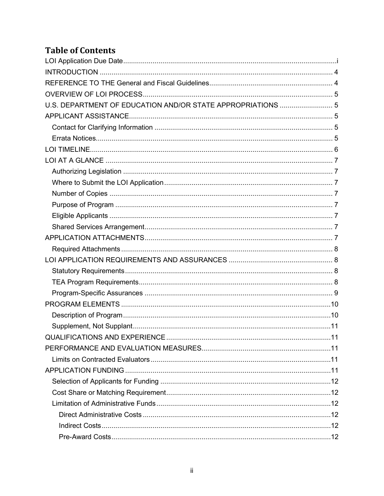# **Table of Contents**

| U.S. DEPARTMENT OF EDUCATION AND/OR STATE APPROPRIATIONS  5 |
|-------------------------------------------------------------|
|                                                             |
|                                                             |
|                                                             |
|                                                             |
|                                                             |
|                                                             |
|                                                             |
|                                                             |
|                                                             |
|                                                             |
|                                                             |
|                                                             |
|                                                             |
|                                                             |
|                                                             |
|                                                             |
|                                                             |
|                                                             |
|                                                             |
|                                                             |
| 11                                                          |
|                                                             |
|                                                             |
|                                                             |
|                                                             |
|                                                             |
|                                                             |
|                                                             |
|                                                             |
|                                                             |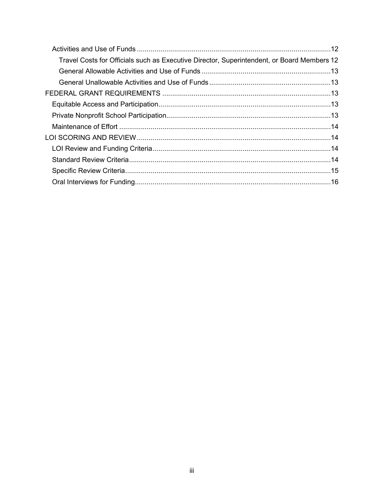| Travel Costs for Officials such as Executive Director, Superintendent, or Board Members 12 |  |
|--------------------------------------------------------------------------------------------|--|
|                                                                                            |  |
|                                                                                            |  |
|                                                                                            |  |
|                                                                                            |  |
|                                                                                            |  |
|                                                                                            |  |
|                                                                                            |  |
|                                                                                            |  |
|                                                                                            |  |
|                                                                                            |  |
|                                                                                            |  |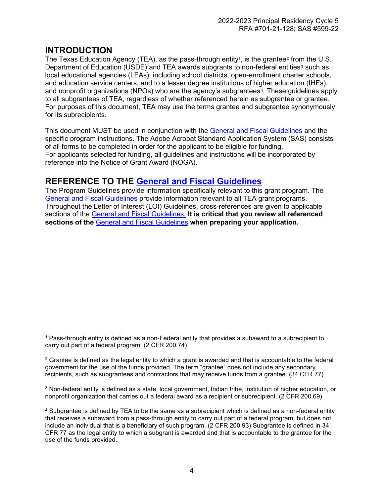# <span id="page-3-0"></span>**INTRODUCTION**

The Texas Education Agency (TEA), as the pass-through entity<sup>[1](#page-3-2)</sup>, is the grantee<sup>[2](#page-3-3)</sup> from the U.S. Department of Education (USDE) and TEA awards subgrants to non-federal entities<sup>[3](#page-3-4)</sup> such as local educational agencies (LEAs), including school districts, open-enrollment charter schools, and education service centers, and to a lesser degree institutions of higher education (IHEs), and nonprofit organizations (NPOs) who are the agency's subgrantees<sup>[4](#page-3-5)</sup>. These guidelines apply to all subgrantees of TEA, regardless of whether referenced herein as subgrantee or grantee. For purposes of this document, TEA may use the terms grantee and subgrantee synonymously for its subrecipients.

This document MUST be used in conjunction with the [General and Fiscal Guidelines](https://tea.texas.gov/sites/default/files/general-and-fiscal-guidelines-7.1.2021-and-after.pdf) and the specific program instructions. The Adobe Acrobat Standard Application System (SAS) consists of all forms to be completed in order for the applicant to be eligible for funding. For applicants selected for funding, all guidelines and instructions will be incorporated by reference into the Notice of Grant Award (NOGA).

# <span id="page-3-1"></span>**REFERENCE TO THE [General and Fiscal Guidelines](https://tea.texas.gov/sites/default/files/general-and-fiscal-guidelines-7.1.2021-and-after.pdf)**

The Program Guidelines provide information specifically relevant to this grant program. The [General and Fiscal Guidelines](https://tea.texas.gov/sites/default/files/general-and-fiscal-guidelines-7.1.2021-and-after.pdf) provide information relevant to all TEA grant programs. Throughout the Letter of Interest (LOI) Guidelines, cross-references are given to applicable sections of the [General and Fiscal Guidelines.](https://tea.texas.gov/sites/default/files/general-and-fiscal-guidelines-7.1.2021-and-after.pdf) **It is critical that you review all referenced sections of the** [General and Fiscal Guidelines](https://tea.texas.gov/sites/default/files/general-and-fiscal-guidelines-7.1.2021-and-after.pdf) **when preparing your application.**

<span id="page-3-2"></span><sup>1</sup> Pass-through entity is defined as a non-Federal entity that provides a subaward to a subrecipient to carry out part of a federal program. (2 CFR 200.74)

<span id="page-3-3"></span> $2$  Grantee is defined as the legal entity to which a grant is awarded and that is accountable to the federal government for the use of the funds provided. The term "grantee" does not include any secondary recipients, such as subgrantees and contractors that may receive funds from a grantee. (34 CFR 77)

<span id="page-3-4"></span><sup>3</sup> Non-federal entity is defined as a state, local government, Indian tribe, institution of higher education, or nonprofit organization that carries out a federal award as a recipient or subrecipient. (2 CFR 200.69)

<span id="page-3-5"></span><sup>4</sup> Subgrantee is defined by TEA to be the same as a subrecipient which is defined as a non-federal entity that receives a subaward from a pass-through entity to carry out part of a federal program; but does not include an individual that is a beneficiary of such program. (2 CFR 200.93) Subgrantee is defined in 34 CFR 77 as the legal entity to which a subgrant is awarded and that is accountable to the grantee for the use of the funds provided.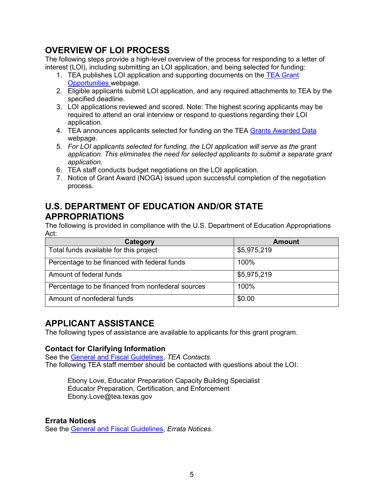# <span id="page-4-0"></span>**OVERVIEW OF LOI PROCESS**

The following steps provide a high-level overview of the process for responding to a letter of interest (LOI), including submitting an LOI application, and being selected for funding:

- 1. TEA publishes LOI application and supporting documents on the [TEA Grant](https://tea4avalonzo.tea.state.tx.us/GrantOpportunities/forms/GrantProgramSearch.aspx)  [Opportunities w](https://tea4avalonzo.tea.state.tx.us/GrantOpportunities/forms/GrantProgramSearch.aspx)ebpage.
- 2. Eligible applicants submit LOI application, and any required attachments to TEA by the specified deadline.
- 3. LOI applications reviewed and scored. Note: The highest scoring applicants may be required to attend an oral interview or respond to questions regarding their LOI application.
- 4. TEA announces applicants selected for funding on the TEA [Grants Awarded Data](https://tea.texas.gov/Finance_and_Grants/Grants/Grants_Awarded/Grants_Awarded_Data/) webpage.
- 5. *For LOI applicants selected for funding, the LOI application will serve as the grant application. This eliminates the need for selected applicants to submit a separate grant application.*
- 6. TEA staff conducts budget negotiations on the LOI application.
- 7. Notice of Grant Award (NOGA) issued upon successful completion of the negotiation process.

# <span id="page-4-1"></span>**U.S. DEPARTMENT OF EDUCATION AND/OR STATE APPROPRIATIONS**

The following is provided in compliance with the U.S. Department of Education Appropriations Act:

| Category                                          | Amount      |
|---------------------------------------------------|-------------|
| Total funds available for this project            | \$5,975,219 |
| Percentage to be financed with federal funds      | 100%        |
| Amount of federal funds                           | \$5,975,219 |
| Percentage to be financed from nonfederal sources | 100%        |
| Amount of nonfederal funds                        | \$0.00      |

# <span id="page-4-2"></span>**APPLICANT ASSISTANCE**

The following types of assistance are available to applicants for this grant program.

# <span id="page-4-3"></span>**Contact for Clarifying Information**

See the [General and Fiscal Guidelines,](https://tea.texas.gov/sites/default/files/general-and-fiscal-guidelines-7.1.2021-and-after.pdf) *TEA Contacts*. The following TEA staff member should be contacted with questions about the LOI:

Ebony Love, Educator Preparation Capacity Building Specialist Educator Preparation, Certification, and Enforcement Ebony.Love@tea.texas.gov

# <span id="page-4-4"></span>**Errata Notices**

See the [General and Fiscal Guidelines,](https://tea.texas.gov/sites/default/files/general-and-fiscal-guidelines-7.1.2021-and-after.pdf) *Errata Notices*.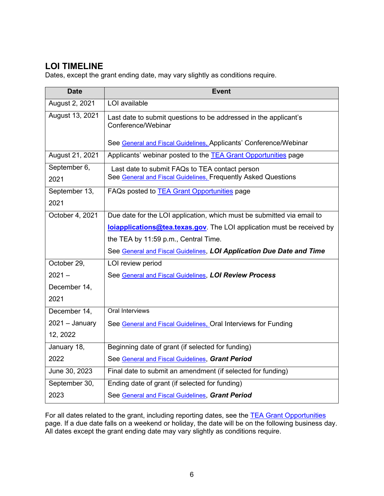# <span id="page-5-0"></span>**LOI TIMELINE**

Dates, except the grant ending date, may vary slightly as conditions require.

| <b>Date</b>      | <b>Event</b>                                                                           |
|------------------|----------------------------------------------------------------------------------------|
| August 2, 2021   | LOI available                                                                          |
| August 13, 2021  | Last date to submit questions to be addressed in the applicant's<br>Conference/Webinar |
|                  | See General and Fiscal Guidelines, Applicants' Conference/Webinar                      |
| August 21, 2021  | Applicants' webinar posted to the TEA Grant Opportunities page                         |
| September 6,     | Last date to submit FAQs to TEA contact person                                         |
| 2021             | See General and Fiscal Guidelines, Frequently Asked Questions                          |
| September 13,    | FAQs posted to <b>TEA Grant Opportunities</b> page                                     |
| 2021             |                                                                                        |
| October 4, 2021  | Due date for the LOI application, which must be submitted via email to                 |
|                  | <b>loiapplications@tea.texas.gov</b> . The LOI application must be received by         |
|                  | the TEA by 11:59 p.m., Central Time.                                                   |
|                  | See General and Fiscal Guidelines, LOI Application Due Date and Time                   |
| October 29,      | LOI review period                                                                      |
| $2021 -$         | See General and Fiscal Guidelines, LOI Review Process                                  |
| December 14,     |                                                                                        |
| 2021             |                                                                                        |
| December 14,     | Oral Interviews                                                                        |
| $2021 - January$ | See General and Fiscal Guidelines, Oral Interviews for Funding                         |
| 12, 2022         |                                                                                        |
| January 18,      | Beginning date of grant (if selected for funding)                                      |
| 2022             | See General and Fiscal Guidelines, Grant Period                                        |
| June 30, 2023    | Final date to submit an amendment (if selected for funding)                            |
| September 30,    | Ending date of grant (if selected for funding)                                         |
| 2023             | See General and Fiscal Guidelines, Grant Period                                        |

For all dates related to the grant, including reporting dates, see the TEA Grant Opportunities page. If a due date falls on a weekend or holiday, the date will be on the following business day. All dates except the grant ending date may vary slightly as conditions require.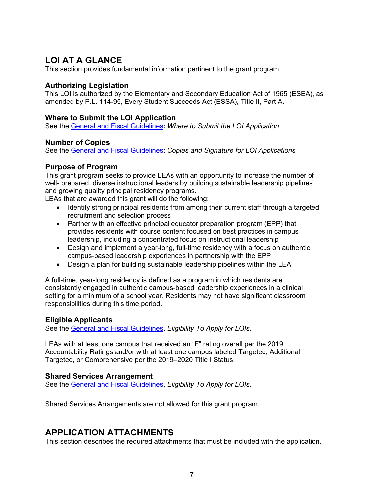# <span id="page-6-0"></span>**LOI AT A GLANCE**

This section provides fundamental information pertinent to the grant program.

# <span id="page-6-1"></span>**Authorizing Legislation**

This LOI is authorized by the Elementary and Secondary Education Act of 1965 (ESEA), as amended by P.L. 114-95, Every Student Succeeds Act (ESSA), Title II, Part A.

## <span id="page-6-2"></span>**Where to Submit the LOI Application**

See the [General and Fiscal Guidelines](https://tea.texas.gov/sites/default/files/general-and-fiscal-guidelines-7.1.2021-and-after.pdf)**:** *Where to Submit the LOI Application*

# <span id="page-6-3"></span>**Number of Copies**

See the [General and Fiscal Guidelines:](https://tea.texas.gov/sites/default/files/general-and-fiscal-guidelines-7.1.2021-and-after.pdf) *Copies and Signature for LOI Applications*

## <span id="page-6-4"></span>**Purpose of Program**

This grant program seeks to provide LEAs with an opportunity to increase the number of well- prepared, diverse instructional leaders by building sustainable leadership pipelines and growing quality principal residency programs.

LEAs that are awarded this grant will do the following:

- Identify strong principal residents from among their current staff through a targeted recruitment and selection process
- Partner with an effective principal educator preparation program (EPP) that provides residents with course content focused on best practices in campus leadership, including a concentrated focus on instructional leadership
- Design and implement a year-long, full-time residency with a focus on authentic campus-based leadership experiences in partnership with the EPP
- Design a plan for building sustainable leadership pipelines within the LEA

A full-time, year-long residency is defined as a program in which residents are consistently engaged in authentic campus-based leadership experiences in a clinical setting for a minimum of a school year. Residents may not have significant classroom responsibilities during this time period.

#### <span id="page-6-5"></span>**Eligible Applicants**

See the [General and Fiscal Guidelines,](https://tea.texas.gov/sites/default/files/general-and-fiscal-guidelines-7.1.2021-and-after.pdf) *Eligibility To Apply for LOIs*.

LEAs with at least one campus that received an "F" rating overall per the 2019 Accountability Ratings and/or with at least one campus labeled Targeted, Additional Targeted, or Comprehensive per the 2019–2020 Title I Status.

# <span id="page-6-6"></span>**Shared Services Arrangement**

See the [General and Fiscal Guidelines,](http://tea.texas.gov/WorkArea/linkit.aspx?LinkIdentifier=id&ItemID=25769819073) *Eligibility To Apply for LOIs*.

Shared Services Arrangements are not allowed for this grant program.

# <span id="page-6-7"></span>**APPLICATION ATTACHMENTS**

This section describes the required attachments that must be included with the application.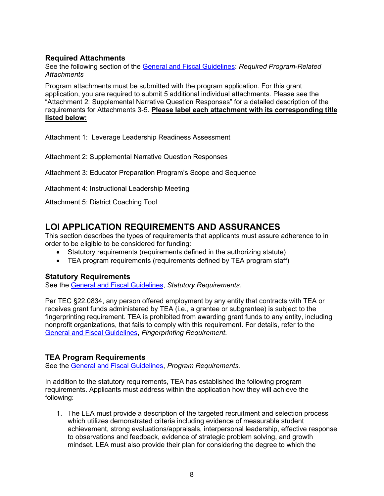# <span id="page-7-0"></span>**Required Attachments**

See the following section of the [General and Fiscal Guidelines:](https://tea.texas.gov/sites/default/files/general-and-fiscal-guidelines-7.1.2021-and-after.pdf) *Required Program-Related Attachments* 

Program attachments must be submitted with the program application. For this grant application, you are required to submit 5 additional individual attachments. Please see the "Attachment 2: Supplemental Narrative Question Responses" for a detailed description of the requirements for Attachments 3-5. **Please label each attachment with its corresponding title listed below:** 

Attachment 1: Leverage Leadership Readiness Assessment

Attachment 2: Supplemental Narrative Question Responses

Attachment 3: Educator Preparation Program's Scope and Sequence

Attachment 4: Instructional Leadership Meeting

Attachment 5: District Coaching Tool

# <span id="page-7-1"></span>**LOI APPLICATION REQUIREMENTS AND ASSURANCES**

This section describes the types of requirements that applicants must assure adherence to in order to be eligible to be considered for funding:

- Statutory requirements (requirements defined in the authorizing statute)
- TEA program requirements (requirements defined by TEA program staff)

#### <span id="page-7-2"></span>**Statutory Requirements**

See the [General and Fiscal Guidelines,](https://tea.texas.gov/sites/default/files/general-and-fiscal-guidelines-7.1.2021-and-after.pdf) *Statutory Requirements*.

Per TEC §22.0834, any person offered employment by any entity that contracts with TEA or receives grant funds administered by TEA (i.e., a grantee or subgrantee) is subject to the fingerprinting requirement. TEA is prohibited from awarding grant funds to any entity, including nonprofit organizations, that fails to comply with this requirement. For details, refer to the [General and Fiscal Guidelines,](https://tea.texas.gov/sites/default/files/general-and-fiscal-guidelines-7.1.2021-and-after.pdf) *Fingerprinting Requirement*.

# <span id="page-7-3"></span>**TEA Program Requirements**

See the [General and Fiscal Guidelines,](https://tea.texas.gov/sites/default/files/general-and-fiscal-guidelines-7.1.2021-and-after.pdf) *Program Requirements.*

In addition to the statutory requirements, TEA has established the following program requirements. Applicants must address within the application how they will achieve the following:

1. The LEA must provide a description of the targeted recruitment and selection process which utilizes demonstrated criteria including evidence of measurable student achievement, strong evaluations/appraisals, interpersonal leadership, effective response to observations and feedback, evidence of strategic problem solving, and growth mindset. LEA must also provide their plan for considering the degree to which the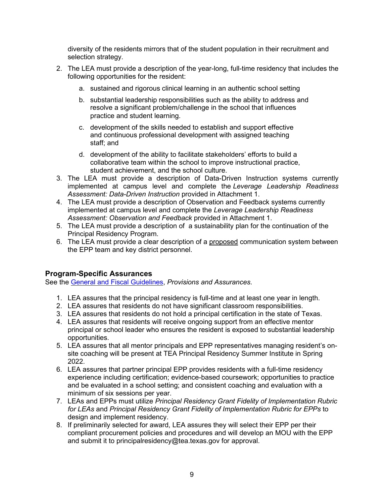diversity of the residents mirrors that of the student population in their recruitment and selection strategy.

- 2. The LEA must provide a description of the year-long, full-time residency that includes the following opportunities for the resident:
	- a. sustained and rigorous clinical learning in an authentic school setting
	- b. substantial leadership responsibilities such as the ability to address and resolve a significant problem/challenge in the school that influences practice and student learning.
	- c. development of the skills needed to establish and support effective and continuous professional development with assigned teaching staff; and
	- d. development of the ability to facilitate stakeholders' efforts to build a collaborative team within the school to improve instructional practice, student achievement, and the school culture.
- 3. The LEA must provide a description of Data-Driven Instruction systems currently implemented at campus level and complete the *Leverage Leadership Readiness Assessment: Data-Driven Instruction* provided in Attachment 1.
- 4. The LEA must provide a description of Observation and Feedback systems currently implemented at campus level and complete the *Leverage Leadership Readiness Assessment: Observation and Feedback* provided in Attachment 1.
- 5. The LEA must provide a description of a sustainability plan for the continuation of the Principal Residency Program.
- 6. The LEA must provide a clear description of a proposed communication system between the EPP team and key district personnel.

# <span id="page-8-0"></span>**Program-Specific Assurances**

See the [General and Fiscal Guidelines,](https://tea.texas.gov/sites/default/files/general-and-fiscal-guidelines-7.1.2021-and-after.pdf) *Provisions and Assurances*.

- 1. LEA assures that the principal residency is full-time and at least one year in length.
- 2. LEA assures that residents do not have significant classroom responsibilities.
- 3. LEA assures that residents do not hold a principal certification in the state of Texas.
- 4. LEA assures that residents will receive ongoing support from an effective mentor principal or school leader who ensures the resident is exposed to substantial leadership opportunities.
- 5. LEA assures that all mentor principals and EPP representatives managing resident's onsite coaching will be present at TEA Principal Residency Summer Institute in Spring 2022.
- 6. LEA assures that partner principal EPP provides residents with a full-time residency experience including certification; evidence-based coursework; opportunities to practice and be evaluated in a school setting; and consistent coaching and evaluation with a minimum of six sessions per year.
- 7. LEAs and EPPs must utilize *Principal Residency Grant Fidelity of Implementation Rubric for LEAs* and *Principal Residency Grant Fidelity of Implementation Rubric for EPPs* to design and implement residency.
- 8. If preliminarily selected for award, LEA assures they will select their EPP per their compliant procurement policies and procedures and will develop an MOU with the EPP and submit it to principalresidency@tea.texas.gov for approval.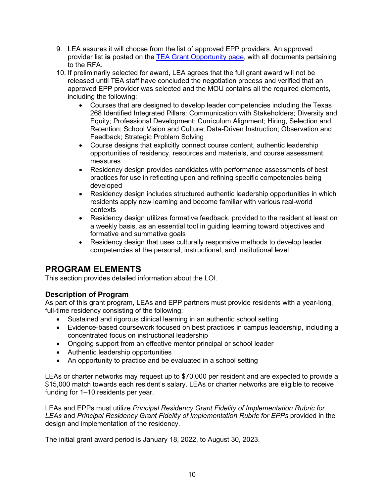- 9. LEA assures it will choose from the list of approved EPP providers. An approved provider list **is** posted on the [TEA Grant Opportunity page,](http://burleson.tea.state.tx.us/GrantOpportunities/forms/GrantProgramSearch.aspx) with all documents pertaining to the RFA.
- 10. If preliminarily selected for award, LEA agrees that the full grant award will not be released until TEA staff have concluded the negotiation process and verified that an approved EPP provider was selected and the MOU contains all the required elements, including the following:
	- Courses that are designed to develop leader competencies including the Texas 268 Identified Integrated Pillars: Communication with Stakeholders; Diversity and Equity; Professional Development; Curriculum Alignment; Hiring, Selection and Retention; School Vision and Culture; Data-Driven Instruction; Observation and Feedback; Strategic Problem Solving
	- Course designs that explicitly connect course content, authentic leadership opportunities of residency, resources and materials, and course assessment measures
	- Residency design provides candidates with performance assessments of best practices for use in reflecting upon and refining specific competencies being developed
	- Residency design includes structured authentic leadership opportunities in which residents apply new learning and become familiar with various real-world contexts
	- Residency design utilizes formative feedback, provided to the resident at least on a weekly basis, as an essential tool in guiding learning toward objectives and formative and summative goals
	- Residency design that uses culturally responsive methods to develop leader competencies at the personal, instructional, and institutional level

# <span id="page-9-0"></span>**PROGRAM ELEMENTS**

This section provides detailed information about the LOI.

# <span id="page-9-1"></span>**Description of Program**

As part of this grant program, LEAs and EPP partners must provide residents with a year-long, full-time residency consisting of the following:

- Sustained and rigorous clinical learning in an authentic school setting
- Evidence-based coursework focused on best practices in campus leadership, including a concentrated focus on instructional leadership
- Ongoing support from an effective mentor principal or school leader
- Authentic leadership opportunities
- An opportunity to practice and be evaluated in a school setting

LEAs or charter networks may request up to \$70,000 per resident and are expected to provide a \$15,000 match towards each resident's salary. LEAs or charter networks are eligible to receive funding for 1–10 residents per year.

LEAs and EPPs must utilize *Principal Residency Grant Fidelity of Implementation Rubric for LEAs* and *Principal Residency Grant Fidelity of Implementation Rubric for EPPs* provided in the design and implementation of the residency.

The initial grant award period is January 18, 2022, to August 30, 2023.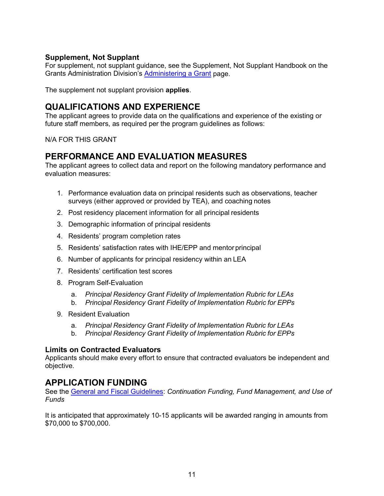# <span id="page-10-0"></span>**Supplement, Not Supplant**

For supplement, not supplant guidance, see the Supplement, Not Supplant Handbook on the Grants Administration Division's [Administering a Grant](http://tea.texas.gov/Finance_and_Grants/Administering_a_Grant.aspx) page.

The supplement not supplant provision **applies**.

# <span id="page-10-1"></span>**QUALIFICATIONS AND EXPERIENCE**

The applicant agrees to provide data on the qualifications and experience of the existing or future staff members, as required per the program guidelines as follows:

N/A FOR THIS GRANT

# <span id="page-10-2"></span>**PERFORMANCE AND EVALUATION MEASURES**

The applicant agrees to collect data and report on the following mandatory performance and evaluation measures:

- 1. Performance evaluation data on principal residents such as observations, teacher surveys (either approved or provided by TEA), and coaching notes
- 2. Post residency placement information for all principal residents
- 3. Demographic information of principal residents
- 4. Residents' program completion rates
- 5. Residents' satisfaction rates with IHE/EPP and mentorprincipal
- 6. Number of applicants for principal residency within an LEA
- 7. Residents' certification test scores
- 8. Program Self-Evaluation
	- a. *Principal Residency Grant Fidelity of Implementation Rubric for LEAs*
	- b. *Principal Residency Grant Fidelity of Implementation Rubric for EPPs*
- 9. Resident Evaluation
	- a. *Principal Residency Grant Fidelity of Implementation Rubric for LEAs*
	- b. *Principal Residency Grant Fidelity of Implementation Rubric for EPPs*

# <span id="page-10-3"></span>**Limits on Contracted Evaluators**

Applicants should make every effort to ensure that contracted evaluators be independent and objective.

# <span id="page-10-4"></span>**APPLICATION FUNDING**

See the [General and Fiscal Guidelines:](https://tea.texas.gov/sites/default/files/general-and-fiscal-guidelines-7.1.2021-and-after.pdf) *Continuation Funding, Fund Management, and Use of Funds*

It is anticipated that approximately 10-15 applicants will be awarded ranging in amounts from \$70,000 to \$700,000.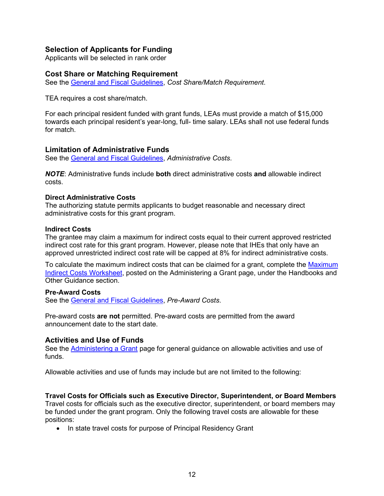## <span id="page-11-0"></span>**Selection of Applicants for Funding**

Applicants will be selected in rank order

#### <span id="page-11-1"></span>**Cost Share or Matching Requirement**

See the [General and Fiscal Guidelines,](https://tea.texas.gov/sites/default/files/general-and-fiscal-guidelines-7.1.2021-and-after.pdf) *Cost Share/Match Requirement*.

TEA requires a cost share/match.

For each principal resident funded with grant funds, LEAs must provide a match of \$15,000 towards each principal resident's year-long, full- time salary. LEAs shall not use federal funds for match.

#### <span id="page-11-2"></span>**Limitation of Administrative Funds**

See the [General and Fiscal Guidelines,](https://tea.texas.gov/sites/default/files/general-and-fiscal-guidelines-7.1.2021-and-after.pdf) *Administrative Costs*.

*NOTE*: Administrative funds include **both** direct administrative costs **and** allowable indirect costs.

#### <span id="page-11-3"></span>**Direct Administrative Costs**

The authorizing statute permits applicants to budget reasonable and necessary direct administrative costs for this grant program.

#### <span id="page-11-4"></span>**Indirect Costs**

The grantee may claim a maximum for indirect costs equal to their current approved restricted indirect cost rate for this grant program. However, please note that IHEs that only have an approved unrestricted indirect cost rate will be capped at 8% for indirect administrative costs.

To calculate the maximum indirect costs that can be claimed for a grant, complete the Maximum [Indirect Costs Worksheet,](https://tea.texas.gov/Finance_and_Grants/Administering_a_Grant.aspx) posted on the Administering a Grant page, under the Handbooks and Other Guidance section.

#### <span id="page-11-5"></span>**Pre-Award Costs**

See the [General and Fiscal Guidelines,](https://tea.texas.gov/sites/default/files/general-and-fiscal-guidelines-7.1.2021-and-after.pdf) *Pre-Award Costs*.

Pre-award costs **are not** permitted. Pre-award costs are permitted from the award announcement date to the start date.

#### <span id="page-11-6"></span>**Activities and Use of Funds**

See the [Administering a Grant](http://www.tea.texas.gov/WorkArea/linkit.aspx?LinkIdentifier=id&ItemID=25769814700) page for general guidance on allowable activities and use of funds.

Allowable activities and use of funds may include but are not limited to the following:

#### <span id="page-11-7"></span>**Travel Costs for Officials such as Executive Director, Superintendent, or Board Members**

Travel costs for officials such as the executive director, superintendent, or board members may be funded under the grant program. Only the following travel costs are allowable for these positions:

• In state travel costs for purpose of Principal Residency Grant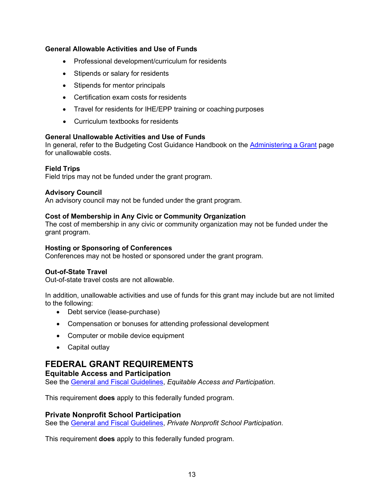## <span id="page-12-0"></span>**General Allowable Activities and Use of Funds**

- Professional development/curriculum for residents
- Stipends or salary for residents
- Stipends for mentor principals
- Certification exam costs for residents
- Travel for residents for IHE/EPP training or coaching purposes
- Curriculum textbooks for residents

## <span id="page-12-1"></span>**General Unallowable Activities and Use of Funds**

In general, refer to the Budgeting Cost Guidance Handbook on the [Administering a Grant](http://www.tea.texas.gov/WorkArea/linkit.aspx?LinkIdentifier=id&ItemID=25769814700) page for unallowable costs.

## **Field Trips**

Field trips may not be funded under the grant program.

#### **Advisory Council**

An advisory council may not be funded under the grant program.

#### **Cost of Membership in Any Civic or Community Organization**

The cost of membership in any civic or community organization may not be funded under the grant program.

#### **Hosting or Sponsoring of Conferences**

Conferences may not be hosted or sponsored under the grant program.

#### **Out-of-State Travel**

Out-of-state travel costs are not allowable.

In addition, unallowable activities and use of funds for this grant may include but are not limited to the following:

- Debt service (lease-purchase)
- Compensation or bonuses for attending professional development
- Computer or mobile device equipment
- Capital outlay

# <span id="page-12-2"></span>**FEDERAL GRANT REQUIREMENTS**

#### <span id="page-12-3"></span>**Equitable Access and Participation**

See the [General and Fiscal Guidelines,](https://tea.texas.gov/sites/default/files/general-and-fiscal-guidelines-7.1.2021-and-after.pdf) *Equitable Access and Participation*.

This requirement **does** apply to this federally funded program.

#### <span id="page-12-4"></span>**Private Nonprofit School Participation**

See the [General and Fiscal Guidelines,](https://tea.texas.gov/sites/default/files/general-and-fiscal-guidelines-7.1.2021-and-after.pdf) *Private Nonprofit School Participation*.

This requirement **does** apply to this federally funded program.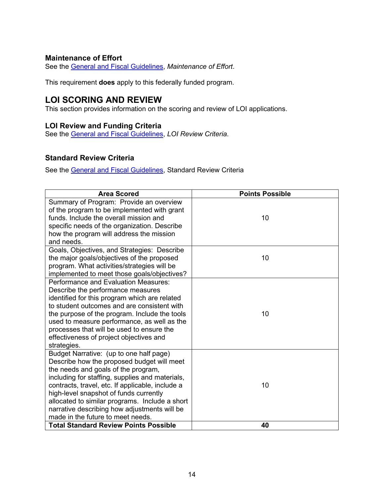# <span id="page-13-0"></span>**Maintenance of Effort**

See the [General and Fiscal Guidelines,](https://tea.texas.gov/sites/default/files/general-and-fiscal-guidelines-7.1.2021-and-after.pdf) *Maintenance of Effort*.

This requirement **does** apply to this federally funded program.

# <span id="page-13-1"></span>**LOI SCORING AND REVIEW**

This section provides information on the scoring and review of LOI applications.

# <span id="page-13-2"></span>**LOI Review and Funding Criteria**

See the [General and Fiscal Guidelines,](https://tea.texas.gov/sites/default/files/general-and-fiscal-guidelines-7.1.2021-and-after.pdf) *LOI Review Criteria*.

## <span id="page-13-3"></span>**Standard Review Criteria**

See the [General and Fiscal Guidelines,](https://tea.texas.gov/sites/default/files/general-and-fiscal-guidelines-7.1.2021-and-after.pdf) Standard Review Criteria

| <b>Area Scored</b>                                                                                                                                                                                                                                                                                                                                                                                                   | <b>Points Possible</b> |
|----------------------------------------------------------------------------------------------------------------------------------------------------------------------------------------------------------------------------------------------------------------------------------------------------------------------------------------------------------------------------------------------------------------------|------------------------|
| Summary of Program: Provide an overview<br>of the program to be implemented with grant<br>funds. Include the overall mission and<br>specific needs of the organization. Describe<br>how the program will address the mission<br>and needs.                                                                                                                                                                           | 10                     |
| Goals, Objectives, and Strategies: Describe<br>the major goals/objectives of the proposed<br>program. What activities/strategies will be<br>implemented to meet those goals/objectives?                                                                                                                                                                                                                              | 10                     |
| Performance and Evaluation Measures:<br>Describe the performance measures<br>identified for this program which are related<br>to student outcomes and are consistent with<br>the purpose of the program. Include the tools<br>used to measure performance, as well as the<br>processes that will be used to ensure the<br>effectiveness of project objectives and<br>strategies.                                     | 10                     |
| Budget Narrative: (up to one half page)<br>Describe how the proposed budget will meet<br>the needs and goals of the program,<br>including for staffing, supplies and materials,<br>contracts, travel, etc. If applicable, include a<br>high-level snapshot of funds currently<br>allocated to similar programs. Include a short<br>narrative describing how adjustments will be<br>made in the future to meet needs. | 10                     |
| <b>Total Standard Review Points Possible</b>                                                                                                                                                                                                                                                                                                                                                                         | 40                     |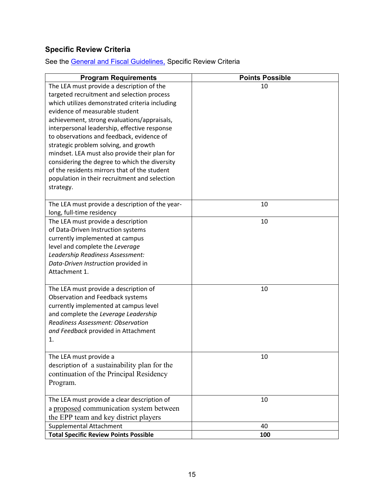# <span id="page-14-0"></span>**Specific Review Criteria**

See the [General and Fiscal Guidelines,](https://tea.texas.gov/sites/default/files/general-and-fiscal-guidelines-7.1.2021-and-after.pdf) Specific Review Criteria

| <b>Program Requirements</b>                                                                   | <b>Points Possible</b> |
|-----------------------------------------------------------------------------------------------|------------------------|
| The LEA must provide a description of the                                                     | 10                     |
| targeted recruitment and selection process                                                    |                        |
| which utilizes demonstrated criteria including                                                |                        |
| evidence of measurable student                                                                |                        |
| achievement, strong evaluations/appraisals,                                                   |                        |
| interpersonal leadership, effective response                                                  |                        |
| to observations and feedback, evidence of                                                     |                        |
| strategic problem solving, and growth                                                         |                        |
| mindset. LEA must also provide their plan for                                                 |                        |
| considering the degree to which the diversity<br>of the residents mirrors that of the student |                        |
| population in their recruitment and selection                                                 |                        |
|                                                                                               |                        |
| strategy.                                                                                     |                        |
| The LEA must provide a description of the year-                                               | 10                     |
| long, full-time residency                                                                     |                        |
| The LEA must provide a description                                                            | 10                     |
| of Data-Driven Instruction systems                                                            |                        |
| currently implemented at campus                                                               |                        |
| level and complete the Leverage                                                               |                        |
| Leadership Readiness Assessment:                                                              |                        |
| Data-Driven Instruction provided in                                                           |                        |
| Attachment 1.                                                                                 |                        |
| The LEA must provide a description of                                                         | 10                     |
| Observation and Feedback systems                                                              |                        |
| currently implemented at campus level                                                         |                        |
| and complete the Leverage Leadership                                                          |                        |
| <b>Readiness Assessment: Observation</b>                                                      |                        |
| and Feedback provided in Attachment                                                           |                        |
| 1.                                                                                            |                        |
|                                                                                               |                        |
| The LEA must provide a<br>description of a sustainability plan for the                        | 10                     |
|                                                                                               |                        |
| continuation of the Principal Residency                                                       |                        |
| Program.                                                                                      |                        |
| The LEA must provide a clear description of                                                   | 10                     |
| a proposed communication system between                                                       |                        |
| the EPP team and key district players                                                         |                        |
| Supplemental Attachment                                                                       | 40                     |
| <b>Total Specific Review Points Possible</b>                                                  | 100                    |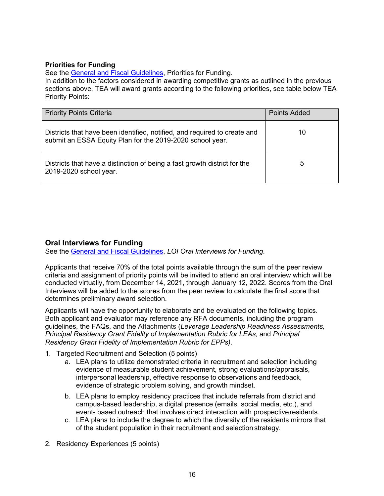#### **Priorities for Funding**

See the [General and Fiscal](https://tea.texas.gov/sites/default/files/general-and-fiscal-guidelines-7.1.2021-and-after.pdf) Guidelines, Priorities for Funding.

In addition to the factors considered in awarding competitive grants as outlined in the previous sections above, TEA will award grants according to the following priorities, see table below TEA Priority Points:

| <b>Priority Points Criteria</b>                                                                                                        | <b>Points Added</b> |
|----------------------------------------------------------------------------------------------------------------------------------------|---------------------|
| Districts that have been identified, notified, and required to create and<br>submit an ESSA Equity Plan for the 2019-2020 school year. | 10                  |
| Districts that have a distinction of being a fast growth district for the<br>2019-2020 school year.                                    | 5                   |

# <span id="page-15-0"></span>**Oral Interviews for Funding**

See the [General and Fiscal Guidelines,](https://tea.texas.gov/sites/default/files/general-and-fiscal-guidelines-7.1.2021-and-after.pdf) *LOI Oral Interviews for Funding*.

Applicants that receive 70% of the total points available through the sum of the peer review criteria and assignment of priority points will be invited to attend an oral interview which will be conducted virtually, from December 14, 2021, through January 12, 2022. Scores from the Oral Interviews will be added to the scores from the peer review to calculate the final score that determines preliminary award selection.

Applicants will have the opportunity to elaborate and be evaluated on the following topics. Both applicant and evaluator may reference any RFA documents, including the program guidelines, the FAQs, and the Attachments (*Leverage Leadership Readiness Assessments, Principal Residency Grant Fidelity of Implementation Rubric for LEAs,* and *Principal Residency Grant Fidelity of Implementation Rubric for EPPs)*.

- 1. Targeted Recruitment and Selection (5 points)
	- a. LEA plans to utilize demonstrated criteria in recruitment and selection including evidence of measurable student achievement, strong evaluations/appraisals, interpersonal leadership, effective response to observations and feedback, evidence of strategic problem solving, and growth mindset.
	- b. LEA plans to employ residency practices that include referrals from district and campus-based leadership, a digital presence (emails, social media, etc.), and event- based outreach that involves direct interaction with prospectiveresidents.
	- c. LEA plans to include the degree to which the diversity of the residents mirrors that of the student population in their recruitment and selection strategy.
- 2. Residency Experiences (5 points)